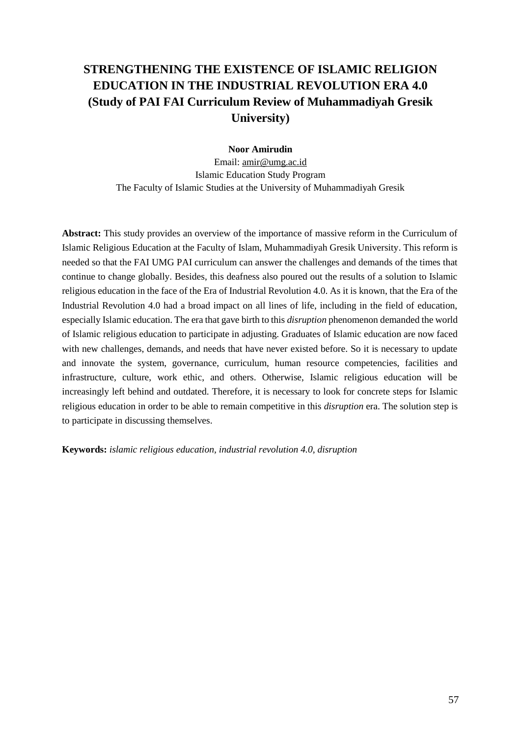# **STRENGTHENING THE EXISTENCE OF ISLAMIC RELIGION EDUCATION IN THE INDUSTRIAL REVOLUTION ERA 4.0 (Study of PAI FAI Curriculum Review of Muhammadiyah Gresik University)**

### **Noor Amirudin**

Email: amir@umg.ac.id Islamic Education Study Program The Faculty of Islamic Studies at the University of Muhammadiyah Gresik

**Abstract:** This study provides an overview of the importance of massive reform in the Curriculum of Islamic Religious Education at the Faculty of Islam, Muhammadiyah Gresik University. This reform is needed so that the FAI UMG PAI curriculum can answer the challenges and demands of the times that continue to change globally. Besides, this deafness also poured out the results of a solution to Islamic religious education in the face of the Era of Industrial Revolution 4.0. As it is known, that the Era of the Industrial Revolution 4.0 had a broad impact on all lines of life, including in the field of education, especially Islamic education. The era that gave birth to this *disruption* phenomenon demanded the world of Islamic religious education to participate in adjusting. Graduates of Islamic education are now faced with new challenges, demands, and needs that have never existed before. So it is necessary to update and innovate the system, governance, curriculum, human resource competencies, facilities and infrastructure, culture, work ethic, and others. Otherwise, Islamic religious education will be increasingly left behind and outdated. Therefore, it is necessary to look for concrete steps for Islamic religious education in order to be able to remain competitive in this *disruption* era. The solution step is to participate in discussing themselves.

**Keywords:** *islamic religious education, industrial revolution 4.0, disruption*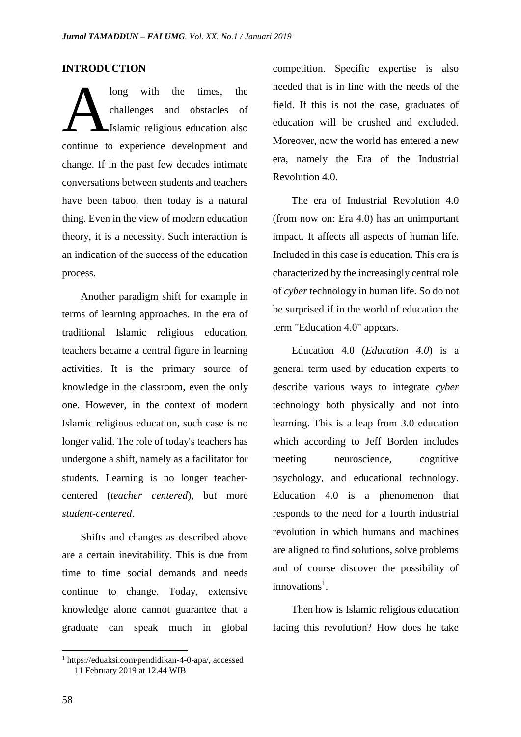## **INTRODUCTION**

long with the times, the challenges and obstacles of Islamic religious education also continue to experience development and change. If in the past few decades intimate conversations between students and teachers have been taboo, then today is a natural thing. Even in the view of modern education theory, it is a necessity. Such interaction is an indication of the success of the education process. A

Another paradigm shift for example in terms of learning approaches. In the era of traditional Islamic religious education, teachers became a central figure in learning activities. It is the primary source of knowledge in the classroom, even the only one. However, in the context of modern Islamic religious education, such case is no longer valid. The role of today's teachers has undergone a shift, namely as a facilitator for students. Learning is no longer teachercentered (*teacher centered*), but more *student-centered*.

Shifts and changes as described above are a certain inevitability. This is due from time to time social demands and needs continue to change. Today, extensive knowledge alone cannot guarantee that a graduate can speak much in global competition. Specific expertise is also needed that is in line with the needs of the field. If this is not the case, graduates of education will be crushed and excluded. Moreover, now the world has entered a new era, namely the Era of the Industrial Revolution 4.0.

The era of Industrial Revolution 4.0 (from now on: Era 4.0) has an unimportant impact. It affects all aspects of human life. Included in this case is education. This era is characterized by the increasingly central role of *cyber* technology in human life. So do not be surprised if in the world of education the term "Education 4.0" appears.

Education 4.0 (*Education 4.0*) is a general term used by education experts to describe various ways to integrate *cyber* technology both physically and not into learning. This is a leap from 3.0 education which according to Jeff Borden includes meeting neuroscience, cognitive psychology, and educational technology. Education 4.0 is a phenomenon that responds to the need for a fourth industrial revolution in which humans and machines are aligned to find solutions, solve problems and of course discover the possibility of innovations<sup>1</sup>.

Then how is Islamic religious education facing this revolution? How does he take

<sup>1</sup> [https://eduaksi.com/pendidikan-4-0-apa/,](https://eduaksi.com/pendidikan-4-0-apa/) accessed 11 February 2019 at 12.44 WIB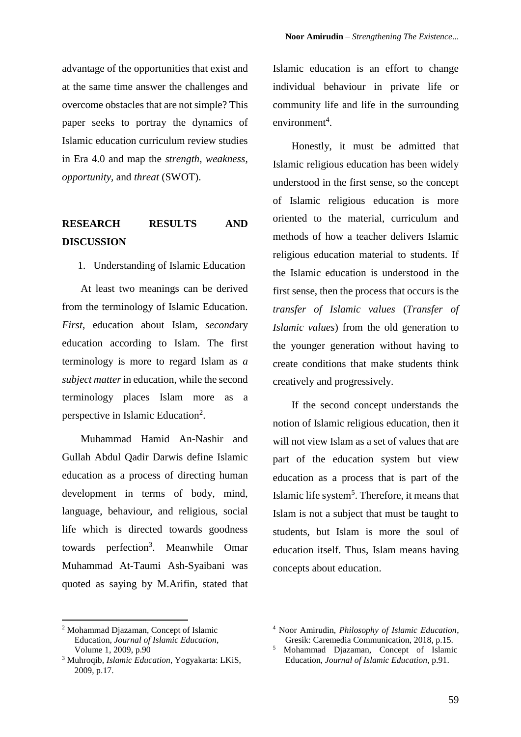advantage of the opportunities that exist and at the same time answer the challenges and overcome obstacles that are not simple? This paper seeks to portray the dynamics of Islamic education curriculum review studies in Era 4.0 and map the *strength, weakness, opportunity,* and *threat* (SWOT).

## **RESEARCH RESULTS AND DISCUSSION**

1. Understanding of Islamic Education

At least two meanings can be derived from the terminology of Islamic Education. *First*, education about Islam, *second*ary education according to Islam. The first terminology is more to regard Islam as *a subject matter*in education, while the second terminology places Islam more as a perspective in Islamic Education<sup>2</sup>.

Muhammad Hamid An-Nashir and Gullah Abdul Qadir Darwis define Islamic education as a process of directing human development in terms of body, mind, language, behaviour, and religious, social life which is directed towards goodness towards perfection<sup>3</sup>. Meanwhile Omar Muhammad At-Taumi Ash-Syaibani was quoted as saying by M.Arifin, stated that

Islamic education is an effort to change individual behaviour in private life or community life and life in the surrounding  $environment<sup>4</sup>$ .

Honestly, it must be admitted that Islamic religious education has been widely understood in the first sense, so the concept of Islamic religious education is more oriented to the material, curriculum and methods of how a teacher delivers Islamic religious education material to students. If the Islamic education is understood in the first sense, then the process that occurs is the *transfer of Islamic values* (*Transfer of Islamic values*) from the old generation to the younger generation without having to create conditions that make students think creatively and progressively.

If the second concept understands the notion of Islamic religious education, then it will not view Islam as a set of values that are part of the education system but view education as a process that is part of the Islamic life system<sup>5</sup>. Therefore, it means that Islam is not a subject that must be taught to students, but Islam is more the soul of education itself. Thus, Islam means having concepts about education.

<sup>2</sup> Mohammad Djazaman, Concept of Islamic Education*, Journal of Islamic Education*, Volume 1, 2009, p.90

<sup>3</sup> Muhroqib, *Islamic Education*, Yogyakarta: LKiS, 2009, p.17.

<sup>4</sup> Noor Amirudin, *Philosophy of Islamic Education*, Gresik: Caremedia Communication, 2018, p.15.

<sup>5</sup> Mohammad Djazaman, Concept of Islamic Education*, Journal of Islamic Education*, p.91.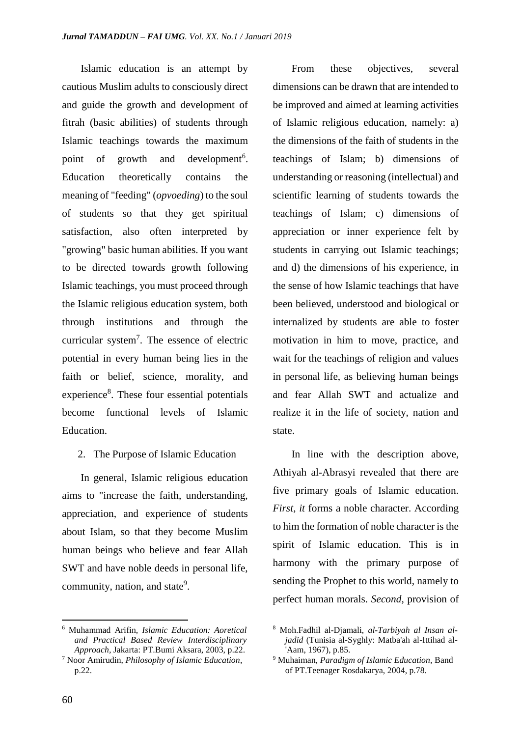Islamic education is an attempt by cautious Muslim adults to consciously direct and guide the growth and development of fitrah (basic abilities) of students through Islamic teachings towards the maximum point of growth and development<sup>6</sup>. Education theoretically contains the meaning of "feeding" (*opvoeding*) to the soul of students so that they get spiritual satisfaction, also often interpreted by "growing" basic human abilities. If you want to be directed towards growth following Islamic teachings, you must proceed through the Islamic religious education system, both through institutions and through the curricular system<sup>7</sup> . The essence of electric potential in every human being lies in the faith or belief, science, morality, and experience<sup>8</sup>. These four essential potentials become functional levels of Islamic Education.

2. The Purpose of Islamic Education

In general, Islamic religious education aims to "increase the faith, understanding, appreciation, and experience of students about Islam, so that they become Muslim human beings who believe and fear Allah SWT and have noble deeds in personal life, community, nation, and state<sup>9</sup>.

From these objectives, several dimensions can be drawn that are intended to be improved and aimed at learning activities of Islamic religious education, namely: a) the dimensions of the faith of students in the teachings of Islam; b) dimensions of understanding or reasoning (intellectual) and scientific learning of students towards the teachings of Islam; c) dimensions of appreciation or inner experience felt by students in carrying out Islamic teachings; and d) the dimensions of his experience, in the sense of how Islamic teachings that have been believed, understood and biological or internalized by students are able to foster motivation in him to move, practice, and wait for the teachings of religion and values in personal life, as believing human beings and fear Allah SWT and actualize and realize it in the life of society, nation and state.

In line with the description above, Athiyah al-Abrasyi revealed that there are five primary goals of Islamic education. *First, it* forms a noble character. According to him the formation of noble character is the spirit of Islamic education. This is in harmony with the primary purpose of sending the Prophet to this world, namely to perfect human morals. *Second,* provision of

<sup>6</sup> Muhammad Arifin, *Islamic Education: Aoretical and Practical Based Review Interdisciplinary Approach,* Jakarta: PT.Bumi Aksara, 2003, p.22.

<sup>7</sup> Noor Amirudin, *Philosophy of Islamic Education*, p.22.

<sup>8</sup> Moh.Fadhil al-Djamali, *al-Tarbiyah al Insan aljadid* (Tunisia al-Syghly: Matba'ah al-Ittihad al- 'Aam, 1967), p.85.

<sup>9</sup> Muhaiman, *Paradigm of Islamic Education,* Band of PT.Teenager Rosdakarya, 2004, p.78.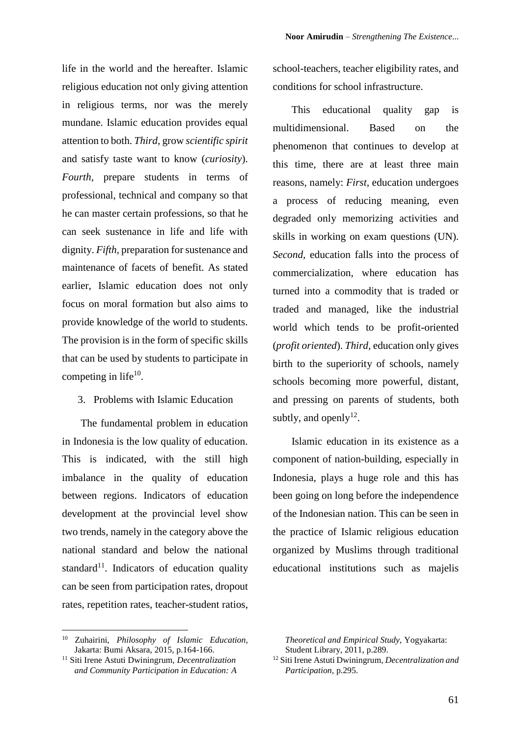life in the world and the hereafter. Islamic religious education not only giving attention in religious terms, nor was the merely mundane. Islamic education provides equal attention to both. *Third,* grow *scientific spirit* and satisfy taste want to know (*curiosity*). *Fourth,* prepare students in terms of professional, technical and company so that he can master certain professions, so that he can seek sustenance in life and life with dignity. *Fifth,* preparation for sustenance and maintenance of facets of benefit. As stated earlier, Islamic education does not only focus on moral formation but also aims to provide knowledge of the world to students. The provision is in the form of specific skills that can be used by students to participate in competing in life $10$ .

#### 3. Problems with Islamic Education

The fundamental problem in education in Indonesia is the low quality of education. This is indicated, with the still high imbalance in the quality of education between regions. Indicators of education development at the provincial level show two trends, namely in the category above the national standard and below the national standard<sup>11</sup>. Indicators of education quality can be seen from participation rates, dropout rates, repetition rates, teacher-student ratios,

school-teachers, teacher eligibility rates, and conditions for school infrastructure.

This educational quality gap is multidimensional. Based on the phenomenon that continues to develop at this time, there are at least three main reasons, namely: *First,* education undergoes a process of reducing meaning, even degraded only memorizing activities and skills in working on exam questions (UN). *Second,* education falls into the process of commercialization, where education has turned into a commodity that is traded or traded and managed, like the industrial world which tends to be profit-oriented (*profit oriented*). *Third,* education only gives birth to the superiority of schools, namely schools becoming more powerful, distant, and pressing on parents of students, both subtly, and openly $12$ .

Islamic education in its existence as a component of nation-building, especially in Indonesia, plays a huge role and this has been going on long before the independence of the Indonesian nation. This can be seen in the practice of Islamic religious education organized by Muslims through traditional educational institutions such as majelis

<sup>10</sup> Zuhairini, *Philosophy of Islamic Education,* Jakarta: Bumi Aksara, 2015, p.164-166.

<sup>11</sup> Siti Irene Astuti Dwiningrum, *Decentralization and Community Participation in Education: A* 

*Theoretical and Empirical Study,* Yogyakarta: Student Library, 2011, p.289.

<sup>12</sup> Siti Irene Astuti Dwiningrum, *Decentralization and Participation,* p.295.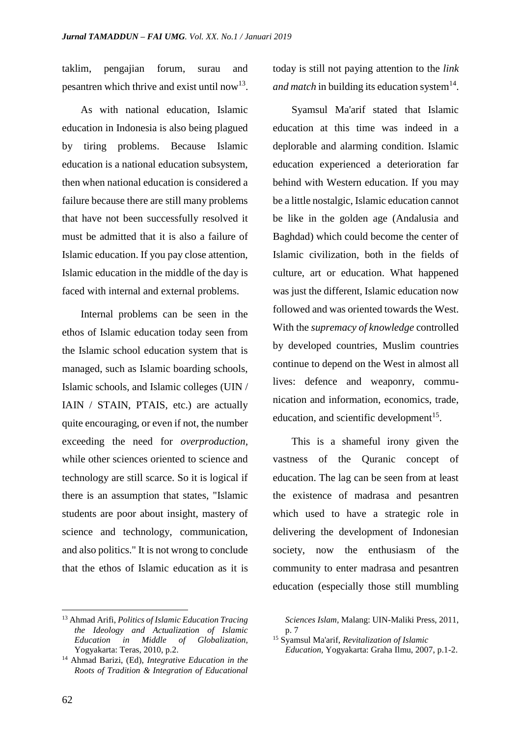taklim, pengajian forum, surau and pesantren which thrive and exist until now<sup>13</sup>.

As with national education, Islamic education in Indonesia is also being plagued by tiring problems. Because Islamic education is a national education subsystem, then when national education is considered a failure because there are still many problems that have not been successfully resolved it must be admitted that it is also a failure of Islamic education. If you pay close attention, Islamic education in the middle of the day is faced with internal and external problems.

Internal problems can be seen in the ethos of Islamic education today seen from the Islamic school education system that is managed, such as Islamic boarding schools, Islamic schools, and Islamic colleges (UIN / IAIN / STAIN, PTAIS, etc.) are actually quite encouraging, or even if not, the number exceeding the need for *overproduction,* while other sciences oriented to science and technology are still scarce. So it is logical if there is an assumption that states, "Islamic students are poor about insight, mastery of science and technology, communication, and also politics." It is not wrong to conclude that the ethos of Islamic education as it is

<sup>13</sup> Ahmad Arifi, *Politics of Islamic Education Tracing the Ideology and Actualization of Islamic Education in Middle of Globalization,* Yogyakarta: Teras, 2010, p.2.

today is still not paying attention to the *link*  and match in building its education system<sup>14</sup>.

Syamsul Ma'arif stated that Islamic education at this time was indeed in a deplorable and alarming condition. Islamic education experienced a deterioration far behind with Western education. If you may be a little nostalgic, Islamic education cannot be like in the golden age (Andalusia and Baghdad) which could become the center of Islamic civilization, both in the fields of culture, art or education. What happened was just the different, Islamic education now followed and was oriented towards the West. With the *supremacy of knowledge* controlled by developed countries, Muslim countries continue to depend on the West in almost all lives: defence and weaponry, communication and information, economics, trade, education, and scientific development<sup>15</sup>.

This is a shameful irony given the vastness of the Quranic concept of education. The lag can be seen from at least the existence of madrasa and pesantren which used to have a strategic role in delivering the development of Indonesian society, now the enthusiasm of the community to enter madrasa and pesantren education (especially those still mumbling

<sup>14</sup> Ahmad Barizi, (Ed), *Integrative Education in the Roots of Tradition & Integration of Educational* 

*Sciences Islam,* Malang: UIN-Maliki Press, 2011, p. 7

<sup>15</sup> Syamsul Ma'arif, *Revitalization of Islamic* 

*Education,* Yogyakarta: Graha Ilmu, 2007, p.1-2.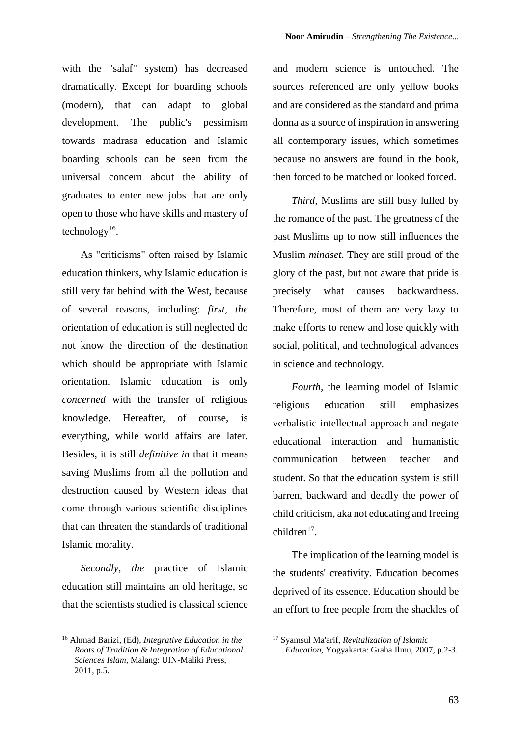with the "salaf" system) has decreased dramatically. Except for boarding schools (modern), that can adapt to global development. The public's pessimism towards madrasa education and Islamic boarding schools can be seen from the universal concern about the ability of graduates to enter new jobs that are only open to those who have skills and mastery of technology<sup>16</sup>.

As "criticisms" often raised by Islamic education thinkers, why Islamic education is still very far behind with the West, because of several reasons, including: *first, the* orientation of education is still neglected do not know the direction of the destination which should be appropriate with Islamic orientation. Islamic education is only *concerned* with the transfer of religious knowledge. Hereafter, of course, is everything, while world affairs are later. Besides, it is still *definitive in* that it means saving Muslims from all the pollution and destruction caused by Western ideas that come through various scientific disciplines that can threaten the standards of traditional Islamic morality.

*Secondly, the* practice of Islamic education still maintains an old heritage, so that the scientists studied is classical science and modern science is untouched. The sources referenced are only yellow books and are considered as the standard and prima donna as a source of inspiration in answering all contemporary issues, which sometimes because no answers are found in the book, then forced to be matched or looked forced.

*Third,* Muslims are still busy lulled by the romance of the past. The greatness of the past Muslims up to now still influences the Muslim *mindset*. They are still proud of the glory of the past, but not aware that pride is precisely what causes backwardness. Therefore, most of them are very lazy to make efforts to renew and lose quickly with social, political, and technological advances in science and technology.

*Fourth,* the learning model of Islamic religious education still emphasizes verbalistic intellectual approach and negate educational interaction and humanistic communication between teacher and student. So that the education system is still barren, backward and deadly the power of child criticism, aka not educating and freeing  $children<sup>17</sup>$ .

The implication of the learning model is the students' creativity. Education becomes deprived of its essence. Education should be an effort to free people from the shackles of

<sup>16</sup> Ahmad Barizi, (Ed), *Integrative Education in the Roots of Tradition & Integration of Educational Sciences Islam,* Malang: UIN-Maliki Press, 2011, p.5.

<sup>17</sup> Syamsul Ma'arif, *Revitalization of Islamic Education,* Yogyakarta: Graha Ilmu, 2007, p.2-3.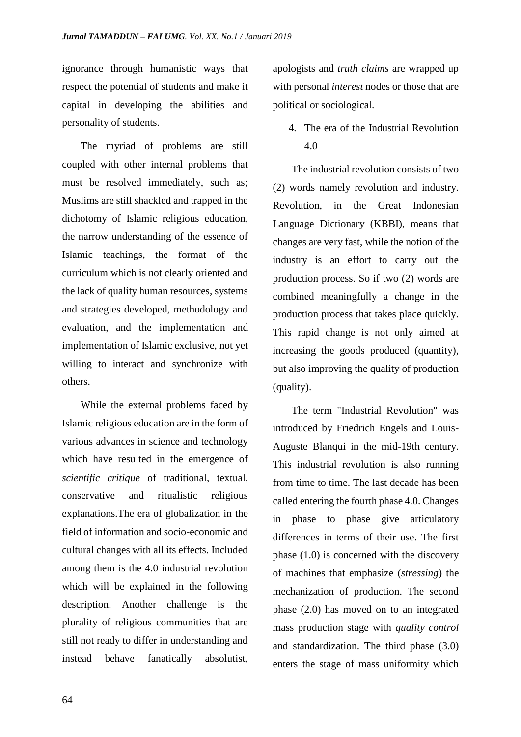ignorance through humanistic ways that respect the potential of students and make it capital in developing the abilities and personality of students.

The myriad of problems are still coupled with other internal problems that must be resolved immediately, such as; Muslims are still shackled and trapped in the dichotomy of Islamic religious education, the narrow understanding of the essence of Islamic teachings, the format of the curriculum which is not clearly oriented and the lack of quality human resources, systems and strategies developed, methodology and evaluation, and the implementation and implementation of Islamic exclusive, not yet willing to interact and synchronize with others.

While the external problems faced by Islamic religious education are in the form of various advances in science and technology which have resulted in the emergence of *scientific critique* of traditional, textual, conservative and ritualistic religious explanations.The era of globalization in the field of information and socio-economic and cultural changes with all its effects. Included among them is the 4.0 industrial revolution which will be explained in the following description. Another challenge is the plurality of religious communities that are still not ready to differ in understanding and instead behave fanatically absolutist,

apologists and *truth claims* are wrapped up with personal *interest* nodes or those that are political or sociological.

4. The era of the Industrial Revolution 4.0

The industrial revolution consists of two (2) words namely revolution and industry. Revolution, in the Great Indonesian Language Dictionary (KBBI), means that changes are very fast, while the notion of the industry is an effort to carry out the production process. So if two (2) words are combined meaningfully a change in the production process that takes place quickly. This rapid change is not only aimed at increasing the goods produced (quantity), but also improving the quality of production (quality).

The term "Industrial Revolution" was introduced by Friedrich Engels and Louis-Auguste Blanqui in the mid-19th century. This industrial revolution is also running from time to time. The last decade has been called entering the fourth phase 4.0. Changes in phase to phase give articulatory differences in terms of their use. The first phase (1.0) is concerned with the discovery of machines that emphasize (*stressing*) the mechanization of production. The second phase (2.0) has moved on to an integrated mass production stage with *quality control* and standardization. The third phase (3.0) enters the stage of mass uniformity which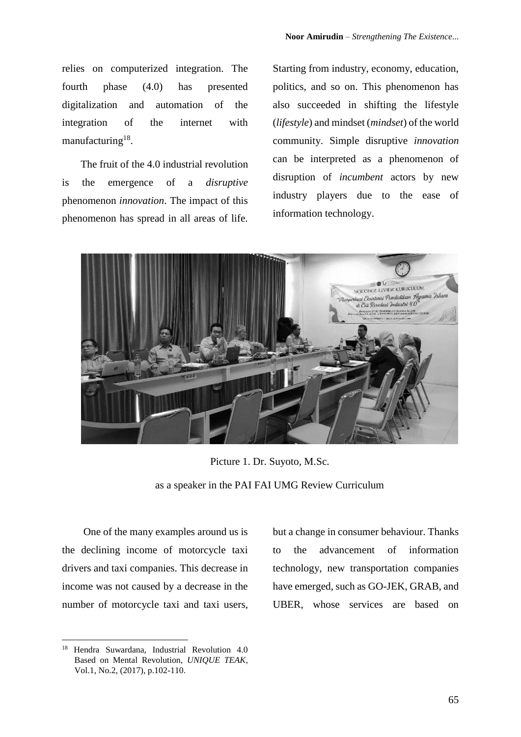relies on computerized integration. The fourth phase (4.0) has presented digitalization and automation of the integration of the internet with manufacturing<sup>18</sup>.

The fruit of the 4.0 industrial revolution is the emergence of a *disruptive* phenomenon *innovation*. The impact of this phenomenon has spread in all areas of life. Starting from industry, economy, education, politics, and so on. This phenomenon has also succeeded in shifting the lifestyle (*lifestyle*) and mindset (*mindset*) of the world community. Simple disruptive *innovation* can be interpreted as a phenomenon of disruption of *incumbent* actors by new industry players due to the ease of information technology.



Picture 1. Dr. Suyoto, M.Sc. as a speaker in the PAI FAI UMG Review Curriculum

One of the many examples around us is the declining income of motorcycle taxi drivers and taxi companies. This decrease in income was not caused by a decrease in the number of motorcycle taxi and taxi users, but a change in consumer behaviour. Thanks to the advancement of information technology, new transportation companies have emerged, such as GO-JEK, GRAB, and UBER, whose services are based on

<sup>18</sup> Hendra Suwardana, Industrial Revolution 4.0 Based on Mental Revolution, *UNIQUE TEAK*, Vol.1, No.2, (2017), p.102-110.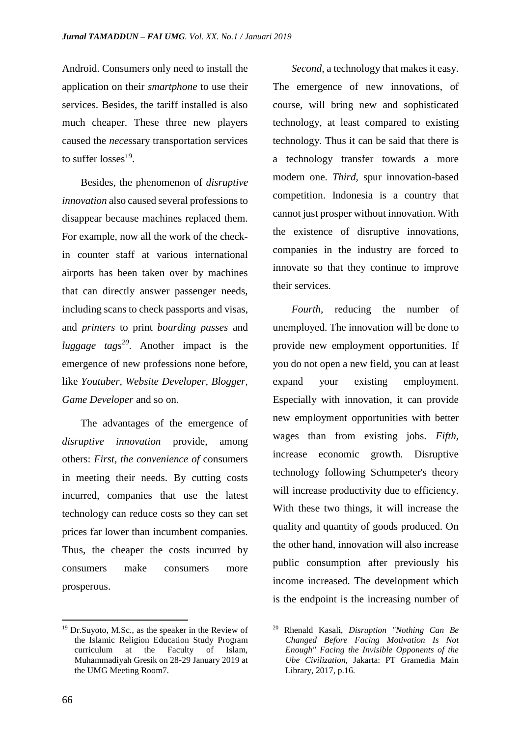Android. Consumers only need to install the application on their *smartphone* to use their services. Besides, the tariff installed is also much cheaper. These three new players caused the *nece*ssary transportation services to suffer losses<sup>19</sup>.

Besides, the phenomenon of *disruptive innovation* also caused several professions to disappear because machines replaced them. For example, now all the work of the checkin counter staff at various international airports has been taken over by machines that can directly answer passenger needs, including scans to check passports and visas, and *printers* to print *boarding passes* and *luggage tags<sup>20</sup>*. Another impact is the emergence of new professions none before, like *Youtuber, Website Developer, Blogger, Game Developer* and so on.

The advantages of the emergence of *disruptive innovation* provide, among others: *First, the convenience of* consumers in meeting their needs. By cutting costs incurred, companies that use the latest technology can reduce costs so they can set prices far lower than incumbent companies. Thus, the cheaper the costs incurred by consumers make consumers more prosperous.

*Second,* a technology that makes it easy. The emergence of new innovations, of course, will bring new and sophisticated technology, at least compared to existing technology. Thus it can be said that there is a technology transfer towards a more modern one. *Third,* spur innovation-based competition. Indonesia is a country that cannot just prosper without innovation. With the existence of disruptive innovations, companies in the industry are forced to innovate so that they continue to improve their services.

*Fourth,* reducing the number of unemployed. The innovation will be done to provide new employment opportunities. If you do not open a new field, you can at least expand your existing employment. Especially with innovation, it can provide new employment opportunities with better wages than from existing jobs. *Fifth,* increase economic growth. Disruptive technology following Schumpeter's theory will increase productivity due to efficiency. With these two things, it will increase the quality and quantity of goods produced. On the other hand, innovation will also increase public consumption after previously his income increased. The development which is the endpoint is the increasing number of

<sup>19</sup> Dr.Suyoto, M.Sc., as the speaker in the Review of the Islamic Religion Education Study Program curriculum at the Faculty of Islam, Muhammadiyah Gresik on 28-29 January 2019 at the UMG Meeting Room7.

<sup>20</sup> Rhenald Kasali, *Disruption "Nothing Can Be Changed Before Facing Motivation Is Not Enough" Facing the Invisible Opponents of the Ube Civilization,* Jakarta: PT Gramedia Main Library, 2017, p.16.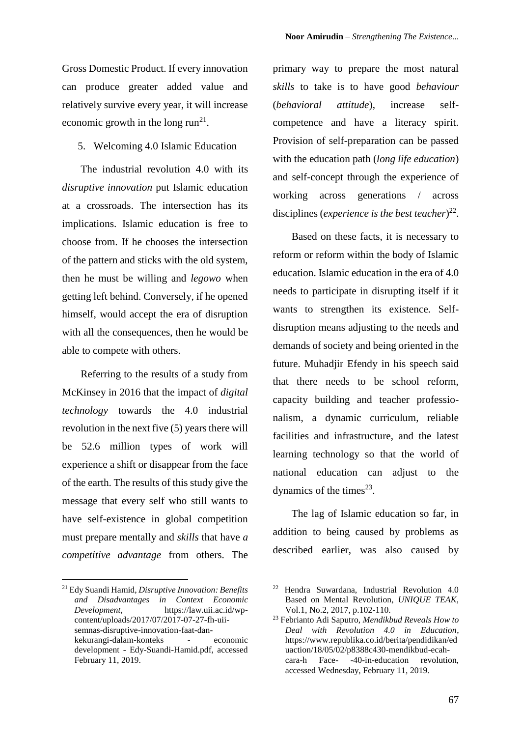Gross Domestic Product. If every innovation can produce greater added value and relatively survive every year, it will increase economic growth in the long  $run^{21}$ .

5. Welcoming 4.0 Islamic Education

The industrial revolution 4.0 with its *disruptive innovation* put Islamic education at a crossroads. The intersection has its implications. Islamic education is free to choose from. If he chooses the intersection of the pattern and sticks with the old system, then he must be willing and *legowo* when getting left behind. Conversely, if he opened himself, would accept the era of disruption with all the consequences, then he would be able to compete with others.

Referring to the results of a study from McKinsey in 2016 that the impact of *digital technology* towards the 4.0 industrial revolution in the next five (5) years there will be 52.6 million types of work will experience a shift or disappear from the face of the earth. The results of this study give the message that every self who still wants to have self-existence in global competition must prepare mentally and *skills* that have *a competitive advantage* from others. The

primary way to prepare the most natural *skills* to take is to have good *behaviour* (*behavioral attitude*), increase selfcompetence and have a literacy spirit. Provision of self-preparation can be passed with the education path (*long life education*) and self-concept through the experience of working across generations / across disciplines (*experience is the best teacher*) 22 .

Based on these facts, it is necessary to reform or reform within the body of Islamic education. Islamic education in the era of 4.0 needs to participate in disrupting itself if it wants to strengthen its existence. Selfdisruption means adjusting to the needs and demands of society and being oriented in the future. Muhadjir Efendy in his speech said that there needs to be school reform, capacity building and teacher professionalism, a dynamic curriculum, reliable facilities and infrastructure, and the latest learning technology so that the world of national education can adjust to the dynamics of the times $^{23}$ .

The lag of Islamic education so far, in addition to being caused by problems as described earlier, was also caused by

<sup>21</sup> Edy Suandi Hamid, *Disruptive Innovation: Benefits and Disadvantages in Context Economic Development*, https://law.uii.ac.id/wpcontent/uploads/2017/07/2017-07-27-fh-uiisemnas-disruptive-innovation-faat-dankekurangi-dalam-konteks - economic development - Edy-Suandi-Hamid.pdf, accessed February 11, 2019.

<sup>22</sup> Hendra Suwardana, Industrial Revolution 4.0 Based on Mental Revolution, *UNIQUE TEAK*, Vol.1, No.2, 2017, p.102-110.

<sup>23</sup> Febrianto Adi Saputro, *Mendikbud Reveals How to Deal with Revolution 4.0 in Education*, https://www.republika.co.id/berita/pendidikan/ed uaction/18/05/02/p8388c430-mendikbud-ecahcara-h Face- -40-in-education revolution, accessed Wednesday, February 11, 2019.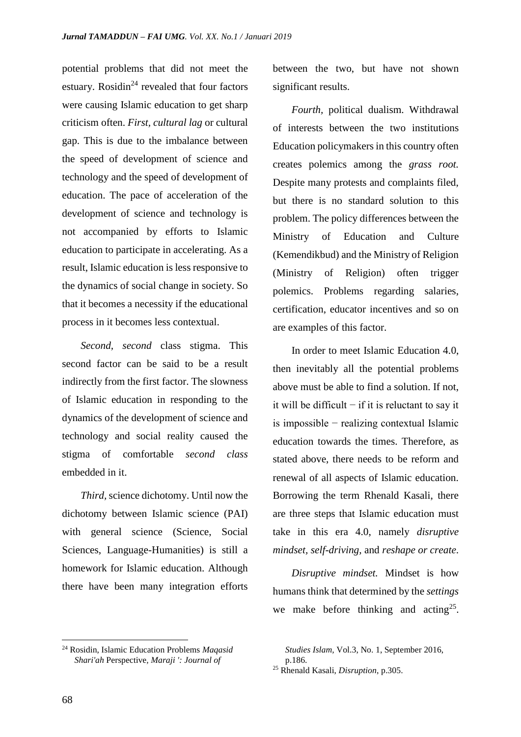potential problems that did not meet the estuary. Rosidin<sup>24</sup> revealed that four factors were causing Islamic education to get sharp criticism often. *First, cultural lag* or cultural gap. This is due to the imbalance between the speed of development of science and technology and the speed of development of education. The pace of acceleration of the development of science and technology is not accompanied by efforts to Islamic education to participate in accelerating. As a result, Islamic education is less responsive to the dynamics of social change in society. So that it becomes a necessity if the educational process in it becomes less contextual.

*Second, second* class stigma. This second factor can be said to be a result indirectly from the first factor. The slowness of Islamic education in responding to the dynamics of the development of science and technology and social reality caused the stigma of comfortable *second class* embedded in it.

*Third,* science dichotomy. Until now the dichotomy between Islamic science (PAI) with general science (Science, Social Sciences, Language-Humanities) is still a homework for Islamic education. Although there have been many integration efforts between the two, but have not shown significant results.

*Fourth,* political dualism. Withdrawal of interests between the two institutions Education policymakers in this country often creates polemics among the *grass root.* Despite many protests and complaints filed, but there is no standard solution to this problem. The policy differences between the Ministry of Education and Culture (Kemendikbud) and the Ministry of Religion (Ministry of Religion) often trigger polemics. Problems regarding salaries, certification, educator incentives and so on are examples of this factor.

In order to meet Islamic Education 4.0, then inevitably all the potential problems above must be able to find a solution. If not, it will be difficult − if it is reluctant to say it is impossible − realizing contextual Islamic education towards the times. Therefore, as stated above, there needs to be reform and renewal of all aspects of Islamic education. Borrowing the term Rhenald Kasali, there are three steps that Islamic education must take in this era 4.0, namely *disruptive mindset, self-driving,* and *reshape or create*.

*Disruptive mindset.* Mindset is how humans think that determined by the *settings* we make before thinking and acting<sup>25</sup>.

<sup>24</sup> Rosidin, Islamic Education Problems *Maqasid Shari'ah* Perspective*, Maraji ': Journal of* 

*Studies Islam,* Vol.3, No. 1, September 2016, p.186.

<sup>25</sup> Rhenald Kasali, *Disruption*, p.305.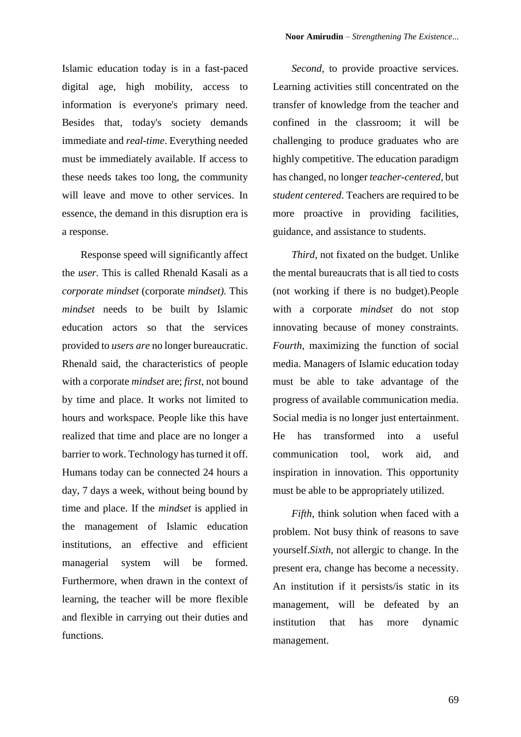Islamic education today is in a fast-paced digital age, high mobility, access to information is everyone's primary need. Besides that, today's society demands immediate and *real-time*. Everything needed must be immediately available. If access to these needs takes too long, the community will leave and move to other services. In essence, the demand in this disruption era is a response.

Response speed will significantly affect the *user.* This is called Rhenald Kasali as a *corporate mindset* (corporate *mindset).* This *mindset* needs to be built by Islamic education actors so that the services provided to *users are* no longer bureaucratic. Rhenald said, the characteristics of people with a corporate *mindset* are; *first,* not bound by time and place. It works not limited to hours and workspace. People like this have realized that time and place are no longer a barrier to work. Technology has turned it off. Humans today can be connected 24 hours a day, 7 days a week, without being bound by time and place. If the *mindset* is applied in the management of Islamic education institutions, an effective and efficient managerial system will be formed. Furthermore, when drawn in the context of learning, the teacher will be more flexible and flexible in carrying out their duties and functions.

*Second,* to provide proactive services. Learning activities still concentrated on the transfer of knowledge from the teacher and confined in the classroom; it will be challenging to produce graduates who are highly competitive. The education paradigm has changed, no longer *teacher-centered,* but *student centered*. Teachers are required to be more proactive in providing facilities, guidance, and assistance to students.

*Third,* not fixated on the budget. Unlike the mental bureaucrats that is all tied to costs (not working if there is no budget).People with a corporate *mindset* do not stop innovating because of money constraints. *Fourth,* maximizing the function of social media. Managers of Islamic education today must be able to take advantage of the progress of available communication media. Social media is no longer just entertainment. He has transformed into a useful communication tool, work aid, and inspiration in innovation. This opportunity must be able to be appropriately utilized.

*Fifth,* think solution when faced with a problem. Not busy think of reasons to save yourself.*Sixth,* not allergic to change. In the present era, change has become a necessity. An institution if it persists/is static in its management, will be defeated by an institution that has more dynamic management.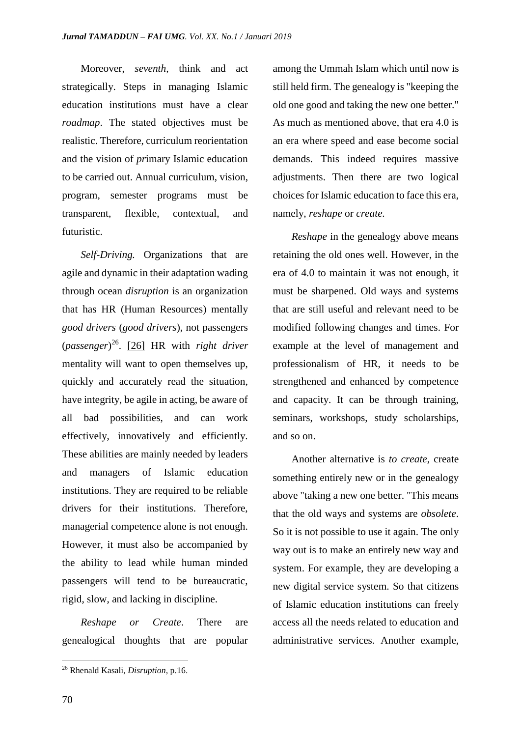Moreover, *seventh,* think and act strategically. Steps in managing Islamic education institutions must have a clear *roadmap*. The stated objectives must be realistic. Therefore, curriculum reorientation and the vision of *pr*imary Islamic education to be carried out. Annual curriculum, vision, program, semester programs must be transparent, flexible, contextual, and futuristic.

*Self-Driving.* Organizations that are agile and dynamic in their adaptation wading through ocean *disruption* is an organization that has HR (Human Resources) mentally *good drivers* (*good drivers*), not passengers (*passenger*) 26 . [26] HR with *right driver* mentality will want to open themselves up, quickly and accurately read the situation, have integrity, be agile in acting, be aware of all bad possibilities, and can work effectively, innovatively and efficiently. These abilities are mainly needed by leaders and managers of Islamic education institutions. They are required to be reliable drivers for their institutions. Therefore, managerial competence alone is not enough. However, it must also be accompanied by the ability to lead while human minded passengers will tend to be bureaucratic, rigid, slow, and lacking in discipline.

*Reshape or Create*. There are genealogical thoughts that are popular among the Ummah Islam which until now is still held firm. The genealogy is "keeping the old one good and taking the new one better." As much as mentioned above, that era 4.0 is an era where speed and ease become social demands. This indeed requires massive adjustments. Then there are two logical choices for Islamic education to face this era, namely, *reshape* or *create.*

*Reshape* in the genealogy above means retaining the old ones well. However, in the era of 4.0 to maintain it was not enough, it must be sharpened. Old ways and systems that are still useful and relevant need to be modified following changes and times. For example at the level of management and professionalism of HR, it needs to be strengthened and enhanced by competence and capacity. It can be through training, seminars, workshops, study scholarships, and so on.

Another alternative is *to create*, create something entirely new or in the genealogy above "taking a new one better. "This means that the old ways and systems are *obsolete*. So it is not possible to use it again. The only way out is to make an entirely new way and system. For example, they are developing a new digital service system. So that citizens of Islamic education institutions can freely access all the needs related to education and administrative services. Another example,

<sup>26</sup> Rhenald Kasali, *Disruption*, p.16.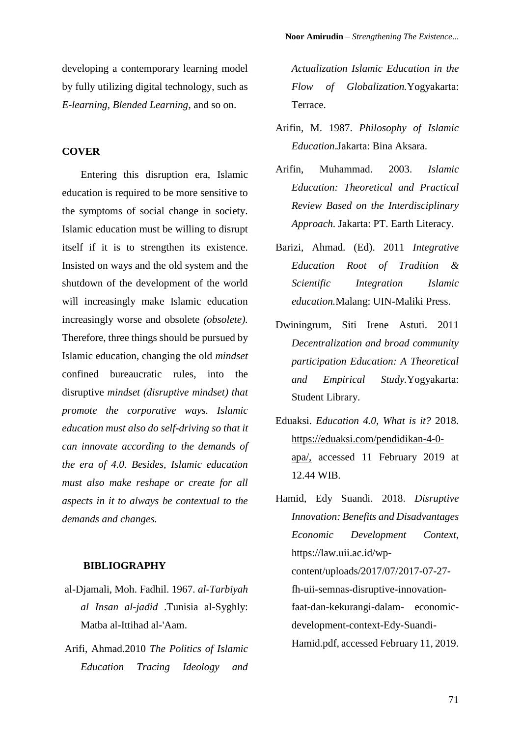developing a contemporary learning model by fully utilizing digital technology, such as *E-learning, Blended Learning*, and so on.

## **COVER**

Entering this disruption era, Islamic education is required to be more sensitive to the symptoms of social change in society. Islamic education must be willing to disrupt itself if it is to strengthen its existence. Insisted on ways and the old system and the shutdown of the development of the world will increasingly make Islamic education increasingly worse and obsolete *(obsolete).* Therefore, three things should be pursued by Islamic education, changing the old *mindset* confined bureaucratic rules, into the disruptive *mindset (disruptive mindset) that promote the corporative ways. Islamic education must also do self-driving so that it can innovate according to the demands of the era of 4.0. Besides, Islamic education must also make reshape or create for all aspects in it to always be contextual to the demands and changes.* 

#### **BIBLIOGRAPHY**

- al-Djamali, Moh. Fadhil. 1967. *al-Tarbiyah al Insan al-jadid* .Tunisia al-Syghly: Matba al-Ittihad al-'Aam.
- Arifi, Ahmad.2010 *The Politics of Islamic Education Tracing Ideology and*

*Actualization Islamic Education in the Flow of Globalization.*Yogyakarta: Terrace.

- Arifin, M. 1987. *Philosophy of Islamic Education*.Jakarta: Bina Aksara.
- Arifin, Muhammad. 2003. *Islamic Education: Theoretical and Practical Review Based on the Interdisciplinary Approach*. Jakarta: PT. Earth Literacy.
- Barizi, Ahmad. (Ed). 2011 *Integrative Education Root of Tradition & Scientific Integration Islamic education.*Malang: UIN-Maliki Press.
- Dwiningrum, Siti Irene Astuti. 2011 *Decentralization and broad community participation Education: A Theoretical and Empirical Study.*Yogyakarta: Student Library.
- Eduaksi. *Education 4.0, What is it?* 2018. [https://eduaksi.com/pendidikan-4-0](https://eduaksi.com/pendidikan-4-0-apa/) [apa/,](https://eduaksi.com/pendidikan-4-0-apa/) accessed 11 February 2019 at 12.44 WIB.
- Hamid, Edy Suandi. 2018. *Disruptive Innovation: Benefits and Disadvantages Economic Development Context*, https://law.uii.ac.id/wpcontent/uploads/2017/07/2017-07-27 fh-uii-semnas-disruptive-innovationfaat-dan-kekurangi-dalam- economicdevelopment-context-Edy-Suandi-Hamid.pdf, accessed February 11, 2019.